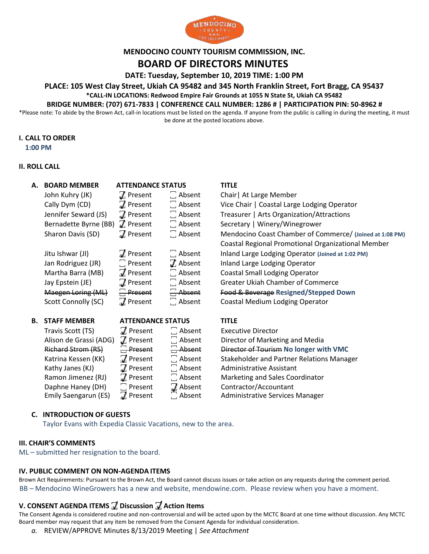

### **MENDOCINO COUNTY TOURISM COMMISSION, INC.**

# **BOARD OF DIRECTORS MINUTES**

**DATE: Tuesday, September 10, 2019 TIME: 1:00 PM**

**PLACE: 105 West Clay Street, Ukiah CA 95482 and 345 North Franklin Street, Fort Bragg, CA 95437**

**\*CALL-IN LOCATIONS: Redwood Empire Fair Grounds at 1055 N State St, Ukiah CA 95482**

#### **BRIDGE NUMBER: (707) 671-7833 | CONFERENCE CALL NUMBER: 1286 # | PARTICIPATION PIN: 50-8962 #**

\*Please note: To abide by the Brown Act, call-in locations must be listed on the agenda. If anyone from the public is calling in during the meeting, it must be done at the posted locations above.

#### **I. CALL TO ORDER**

**1:00 PM**

### **II. ROLL CALL**

| А. | <b>BOARD MEMBER</b>    | <b>ATTENDANCE STATUS</b> |                       | <b>TITLE</b>                                                                                                                                                                                                                                                                                                                                          |
|----|------------------------|--------------------------|-----------------------|-------------------------------------------------------------------------------------------------------------------------------------------------------------------------------------------------------------------------------------------------------------------------------------------------------------------------------------------------------|
|    | John Kuhry (JK)        | $\boldsymbol{J}$ Present | $\Box$ Absent         | Chair   At Large Member                                                                                                                                                                                                                                                                                                                               |
|    | Cally Dym (CD)         | 7 Present                | $\Box$ Absent         | Vice Chair   Coastal Large Lodging Operator                                                                                                                                                                                                                                                                                                           |
|    | Jennifer Seward (JS)   | $\overline{J}$ Present   | $\Box$ Absent         | Treasurer   Arts Organization/Attractions                                                                                                                                                                                                                                                                                                             |
|    | Bernadette Byrne (BB)  | $J$ Present              | $\Box$ Absent         | Secretary   Winery/Winegrower                                                                                                                                                                                                                                                                                                                         |
|    | Sharon Davis (SD)      | $\overline{J}$ Present   | $\Box$ Absent         | Mendocino Coast Chamber of Commerce/ (Joined at 1:08 PM)                                                                                                                                                                                                                                                                                              |
|    |                        |                          |                       | <b>Coastal Regional Promotional Organizational Member</b>                                                                                                                                                                                                                                                                                             |
|    | Jitu Ishwar (JI)       | 7 Present                | $\Box$ Absent         | Inland Large Lodging Operator (Joined at 1:02 PM)                                                                                                                                                                                                                                                                                                     |
|    | Jan Rodriguez (JR)     | $\Box$ Present           | $\overline{J}$ Absent | Inland Large Lodging Operator                                                                                                                                                                                                                                                                                                                         |
|    | Martha Barra (MB)      | 7 Present                | $\Box$ Absent         | <b>Coastal Small Lodging Operator</b>                                                                                                                                                                                                                                                                                                                 |
|    | Jay Epstein (JE)       | 7 Present                | $\Box$ Absent         | <b>Greater Ukiah Chamber of Commerce</b>                                                                                                                                                                                                                                                                                                              |
|    | Maegen Loring (ML)     | $\Box$ Present           | $\Box$ Absent         | Food & Beverage Resigned/Stepped Down                                                                                                                                                                                                                                                                                                                 |
|    | Scott Connolly (SC)    | $\n  J$ Present          | Absent                | Coastal Medium Lodging Operator                                                                                                                                                                                                                                                                                                                       |
| В. | <b>STAFF MEMBER</b>    | <b>ATTENDANCE STATUS</b> |                       | <b>TITLE</b>                                                                                                                                                                                                                                                                                                                                          |
|    | Travis Scott (TS)      | 7 Present                | $\Box$ Absent         | <b>Executive Director</b>                                                                                                                                                                                                                                                                                                                             |
|    | Alison de Grassi (ADG) | $\boldsymbol{J}$ Present | $\Box$ Absent         | Director of Marketing and Media                                                                                                                                                                                                                                                                                                                       |
|    | Diabasal Cheana (DC)   | $\Box$ Dessaint          | $\Box$ Also set       | $D_{\text{total}}$ at $\mathcal{L}$ $\mathcal{L}$ $\mathcal{L}$ $\mathcal{L}$ and $\mathcal{L}$ and $\mathcal{L}$ and $\mathcal{L}$ $\mathcal{L}$ $\mathcal{L}$ $\mathcal{L}$ $\mathcal{L}$ $\mathcal{L}$ $\mathcal{L}$ $\mathcal{L}$ $\mathcal{L}$ $\mathcal{L}$ $\mathcal{L}$ $\mathcal{L}$ $\mathcal{L}$ $\mathcal{L}$ $\mathcal{L}$ $\mathcal{L}$ |

Kathy Janes (KJ)  $\Box$  Present  $\Box$  Absent Administrative Assistant

# Richard Strom (RS)  $\Box$  Present  $\Box$  Absent Director of Tourism No longer with VMC Katrina Kessen (KK)  $\Box$  Present  $\Box$  Absent Stakeholder and Partner Relations Manager Ramon Jimenez (RJ)  $\pi$  Present  $\pi$  Absent Marketing and Sales Coordinator Daphne Haney (DH)  $\Box$  Present  $\Box$  Absent Contractor/Accountant

Emily Saengarun (ES)  $\Box$  Present  $\Box$  Absent Administrative Services Manager

### **C. INTRODUCTION OF GUESTS**

Taylor Evans with Expedia Classic Vacations, new to the area.

#### **III. CHAIR'S COMMENTS**

ML – submitted her resignation to the board.

#### **IV. PUBLIC COMMENT ON NON-AGENDA ITEMS**

Brown Act Requirements: Pursuant to the Brown Act, the Board cannot discuss issues or take action on any requests during the comment period. BB – Mendocino WineGrowers has a new and website, mendowine.com. Please review when you have a moment.

## **V. CONSENT AGENDA ITEMS ꙱ Discussion ꙱ Action Items**

The Consent Agenda is considered routine and non-controversial and will be acted upon by the MCTC Board at one time without discussion. Any MCTC Board member may request that any item be removed from the Consent Agenda for individual consideration.

*a.* REVIEW/APPROVE Minutes 8/13/2019 Meeting | *See Attachment*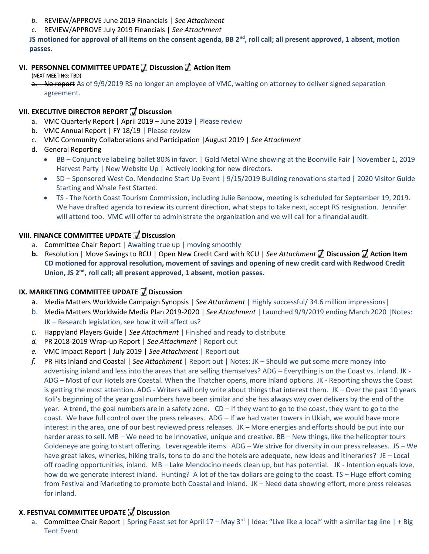- *b.* REVIEW/APPROVE June 2019 Financials | *See Attachment*
- *c.* REVIEW/APPROVE July 2019 Financials | *See Attachment*

**JS motioned for approval of all items on the consent agenda, BB 2nd, roll call; all present approved, 1 absent, motion passes.** 

- **VI. PERSONNEL COMMITTEE UPDATE ꙱ Discussion ꙱ Action Item**
- (NEXT MEETING: TBD)

a. No report As of 9/9/2019 RS no longer an employee of VMC, waiting on attorney to deliver signed separation agreement.

# **VII. EXECUTIVE DIRECTOR REPORT ꙱ Discussion**

- a. VMC Quarterly Report | April 2019 June 2019 | Please review
- b. VMC Annual Report | FY 18/19 | Please review
- *c.* VMC Community Collaborations and Participation |August 2019 | *See Attachment*
- d. General Reporting
	- BB Conjunctive labeling ballet 80% in favor. | Gold Metal Wine showing at the Boonville Fair | November 1, 2019 Harvest Party | New Website Up | Actively looking for new directors.
	- SD Sponsored West Co. Mendocino Start Up Event | 9/15/2019 Building renovations started | 2020 Visitor Guide Starting and Whale Fest Started.
	- TS The North Coast Tourism Commission, including Julie Benbow, meeting is scheduled for September 19, 2019. We have drafted agenda to review its current direction, what steps to take next, accept RS resignation. Jennifer will attend too. VMC will offer to administrate the organization and we will call for a financial audit.

# **VIII. FINANCE COMMITTEE UPDATE ꙱ Discussion**

- a. Committee Chair Report | Awaiting true up | moving smoothly
- **b.** Resolution | Move Savings to RCU | Open New Credit Card with RCU | *See Attachment* **꙱ Discussion ꙱ Action Item CD motioned for approval resolution, movement of savings and opening of new credit card with Redwood Credit**  Union, JS 2<sup>nd</sup>, roll call; all present approved, 1 absent, motion passes.

## **IX. MARKETING COMMITTEE UPDATE ꙱ Discussion**

- a. Media Matters Worldwide Campaign Synopsis | *See Attachment* | Highly successful/ 34.6 million impressions|
- b. Media Matters Worldwide Media Plan 2019-2020 | *See Attachment* | Launched 9/9/2019 ending March 2020 |Notes: JK – Research legislation, see how it will affect us?
- *c.* Happyland Players Guide | *See Attachment* | Finished and ready to distribute
- *d.* PR 2018-2019 Wrap-up Report | *See Attachment* | Report out
- *e.* VMC Impact Report | July 2019 | *See Attachment* | Report out
- *f.* PR Hits Inland and Coastal | *See Attachment* | Report out | Notes: JK Should we put some more money into advertising inland and less into the areas that are selling themselves? ADG – Everything is on the Coast vs. Inland. JK - ADG – Most of our Hotels are Coastal. When the Thatcher opens, more Inland options. JK - Reporting shows the Coast is getting the most attention. ADG - Writers will only write about things that interest them. JK – Over the past 10 years Koli's beginning of the year goal numbers have been similar and she has always way over delivers by the end of the year. A trend, the goal numbers are in a safety zone. CD – If they want to go to the coast, they want to go to the coast. We have full control over the press releases. ADG – If we had water towers in Ukiah, we would have more interest in the area, one of our best reviewed press releases. JK – More energies and efforts should be put into our harder areas to sell. MB – We need to be innovative, unique and creative. BB – New things, like the helicopter tours Goldeneye are going to start offering. Leverageable items. ADG – We strive for diversity in our press releases. JS – We have great lakes, wineries, hiking trails, tons to do and the hotels are adequate, new ideas and itineraries? JE – Local off roading opportunities, inland. MB – Lake Mendocino needs clean up, but has potential. JK - Intention equals love, how do we generate interest inland. Hunting? A lot of the tax dollars are going to the coast. TS – Huge effort coming from Festival and Marketing to promote both Coastal and Inland. JK – Need data showing effort, more press releases for inland.

## **X. FESTIVAL COMMITTEE UPDATE ꙱ Discussion**

a. Committee Chair Report | Spring Feast set for April  $17 -$  May  $3<sup>rd</sup>$  | Idea: "Live like a local" with a similar tag line | + Big Tent Event